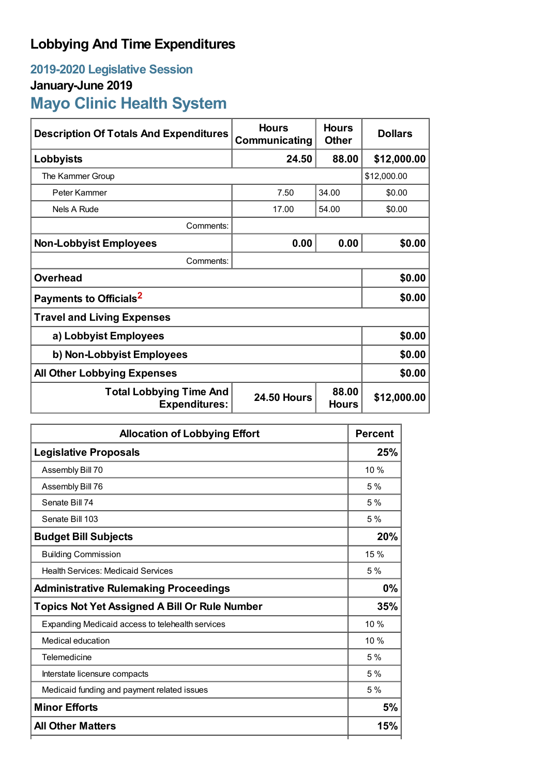## **Lobbying And Time Expenditures**

## **2019-2020 Legislative Session January-June 2019 Mayo Clinic Health System**

| <b>Description Of Totals And Expenditures</b>                                                         | <b>Hours</b><br>Communicating | <b>Hours</b><br><b>Other</b> | <b>Dollars</b> |  |
|-------------------------------------------------------------------------------------------------------|-------------------------------|------------------------------|----------------|--|
| Lobbyists                                                                                             | 24.50                         | 88.00                        | \$12,000.00    |  |
| The Kammer Group                                                                                      |                               |                              | \$12,000.00    |  |
| Peter Kammer                                                                                          | 7.50                          | 34.00                        | \$0.00         |  |
| Nels A Rude                                                                                           | 17.00                         | 54.00                        | \$0.00         |  |
| Comments:                                                                                             |                               |                              |                |  |
| <b>Non-Lobbyist Employees</b>                                                                         | 0.00                          | 0.00                         | \$0.00         |  |
| Comments:                                                                                             |                               |                              |                |  |
| <b>Overhead</b>                                                                                       |                               |                              | \$0.00         |  |
| Payments to Officials <sup>2</sup>                                                                    |                               |                              | \$0.00         |  |
| <b>Travel and Living Expenses</b>                                                                     |                               |                              |                |  |
| a) Lobbyist Employees                                                                                 |                               |                              | \$0.00         |  |
| b) Non-Lobbyist Employees                                                                             |                               |                              | \$0.00         |  |
| <b>All Other Lobbying Expenses</b>                                                                    |                               |                              | \$0.00         |  |
| 88.00<br><b>Total Lobbying Time And</b><br><b>24.50 Hours</b><br><b>Expenditures:</b><br><b>Hours</b> |                               |                              | \$12,000.00    |  |

| <b>Allocation of Lobbying Effort</b>                 | <b>Percent</b> |
|------------------------------------------------------|----------------|
| <b>Legislative Proposals</b>                         | 25%            |
| Assembly Bill 70                                     | 10 %           |
| Assembly Bill 76                                     | 5%             |
| Senate Bill 74                                       | 5%             |
| Senate Bill 103                                      | 5 %            |
| <b>Budget Bill Subjects</b>                          | 20%            |
| <b>Building Commission</b>                           | 15 %           |
| <b>Health Services: Medicaid Services</b>            | 5%             |
| <b>Administrative Rulemaking Proceedings</b>         | 0%             |
| <b>Topics Not Yet Assigned A Bill Or Rule Number</b> | 35%            |
| Expanding Medicaid access to telehealth services     | 10 %           |
| Medical education                                    | 10%            |
| Telemedicine                                         | 5%             |
| Interstate licensure compacts                        | 5%             |
| Medicaid funding and payment related issues          | 5%             |
| <b>Minor Efforts</b>                                 | 5%             |
| <b>All Other Matters</b>                             | 15%            |